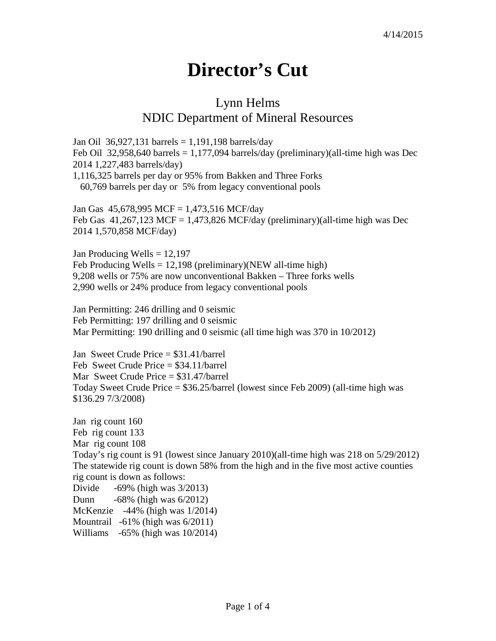## **Director's Cut**

## Lynn Helms NDIC Department of Mineral Resources

Jan Oil 36,927,131 barrels = 1,191,198 barrels/day Feb Oil 32,958,640 barrels  $= 1,177,094$  barrels/day (preliminary)(all-time high was Dec 2014 1,227,483 barrels/day) 1,116,325 barrels per day or 95% from Bakken and Three Forks 60,769 barrels per day or 5% from legacy conventional pools

Jan Gas 45,678,995 MCF = 1,473,516 MCF/day Feb Gas  $41,267,123$  MCF = 1,473,826 MCF/day (preliminary)(all-time high was Dec 2014 1,570,858 MCF/day)

Jan Producing Wells  $= 12,197$ Feb Producing Wells = 12,198 (preliminary)(NEW all-time high) 9,208 wells or 75% are now unconventional Bakken – Three forks wells 2,990 wells or 24% produce from legacy conventional pools

Jan Permitting: 246 drilling and 0 seismic Feb Permitting: 197 drilling and 0 seismic Mar Permitting: 190 drilling and 0 seismic (all time high was 370 in 10/2012)

Jan Sweet Crude Price = \$31.41/barrel Feb Sweet Crude Price = \$34.11/barrel Mar Sweet Crude Price = \$31.47/barrel Today Sweet Crude Price = \$36.25/barrel (lowest since Feb 2009) (all-time high was \$136.29 7/3/2008)

Jan rig count 160 Feb rig count 133 Mar rig count 108 Today's rig count is 91 (lowest since January 2010)(all-time high was 218 on 5/29/2012) The statewide rig count is down 58% from the high and in the five most active counties rig count is down as follows: Divide -69% (high was 3/2013) Dunn -68% (high was 6/2012) McKenzie -44% (high was 1/2014) Mountrail -61% (high was 6/2011) Williams -65% (high was 10/2014)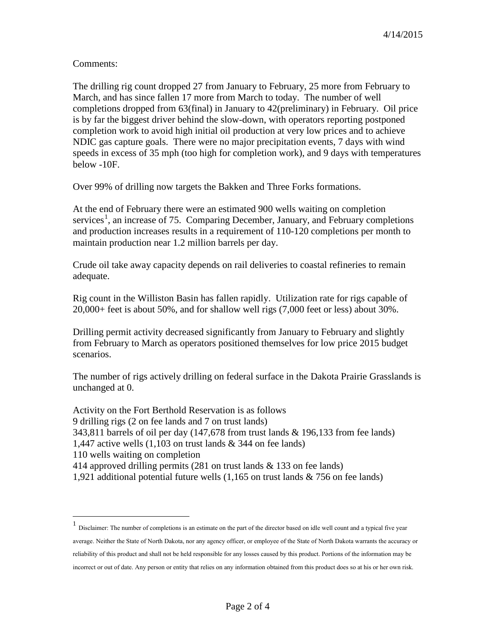Comments:

The drilling rig count dropped 27 from January to February, 25 more from February to March, and has since fallen 17 more from March to today. The number of well completions dropped from 63(final) in January to 42(preliminary) in February. Oil price is by far the biggest driver behind the slow-down, with operators reporting postponed completion work to avoid high initial oil production at very low prices and to achieve NDIC gas capture goals. There were no major precipitation events, 7 days with wind speeds in excess of 35 mph (too high for completion work), and 9 days with temperatures below -10F.

Over 99% of drilling now targets the Bakken and Three Forks formations.

At the end of February there were an estimated 900 wells waiting on completion services<sup>[1](#page-1-0)</sup>, an increase of 75. Comparing December, January, and February completions and production increases results in a requirement of 110-120 completions per month to maintain production near 1.2 million barrels per day.

Crude oil take away capacity depends on rail deliveries to coastal refineries to remain adequate.

Rig count in the Williston Basin has fallen rapidly. Utilization rate for rigs capable of 20,000+ feet is about 50%, and for shallow well rigs (7,000 feet or less) about 30%.

Drilling permit activity decreased significantly from January to February and slightly from February to March as operators positioned themselves for low price 2015 budget scenarios.

The number of rigs actively drilling on federal surface in the Dakota Prairie Grasslands is unchanged at 0.

Activity on the Fort Berthold Reservation is as follows 9 drilling rigs (2 on fee lands and 7 on trust lands) 343,811 barrels of oil per day (147,678 from trust lands & 196,133 from fee lands) 1,447 active wells (1,103 on trust lands & 344 on fee lands) 110 wells waiting on completion 414 approved drilling permits (281 on trust lands & 133 on fee lands) 1,921 additional potential future wells (1,165 on trust lands & 756 on fee lands)

<span id="page-1-0"></span> <sup>1</sup> Disclaimer: The number of completions is an estimate on the part of the director based on idle well count and a typical five year average. Neither the State of North Dakota, nor any agency officer, or employee of the State of North Dakota warrants the accuracy or reliability of this product and shall not be held responsible for any losses caused by this product. Portions of the information may be incorrect or out of date. Any person or entity that relies on any information obtained from this product does so at his or her own risk.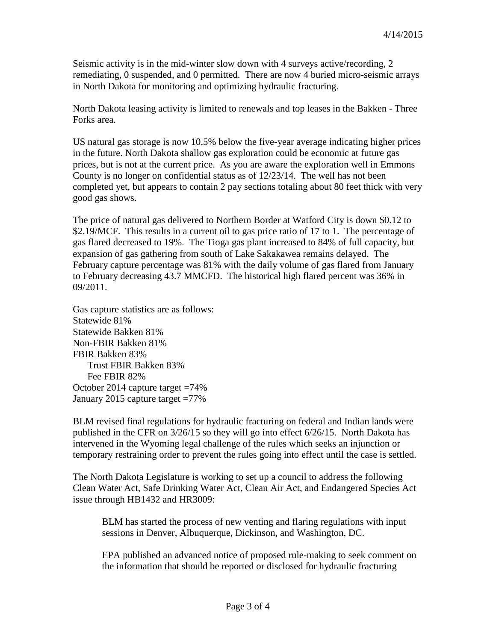Seismic activity is in the mid-winter slow down with 4 surveys active/recording, 2 remediating, 0 suspended, and 0 permitted. There are now 4 buried micro-seismic arrays in North Dakota for monitoring and optimizing hydraulic fracturing.

North Dakota leasing activity is limited to renewals and top leases in the Bakken - Three Forks area.

US natural gas storage is now 10.5% below the five-year average indicating higher prices in the future. North Dakota shallow gas exploration could be economic at future gas prices, but is not at the current price. As you are aware the exploration well in Emmons County is no longer on confidential status as of 12/23/14. The well has not been completed yet, but appears to contain 2 pay sections totaling about 80 feet thick with very good gas shows.

The price of natural gas delivered to Northern Border at Watford City is down \$0.12 to \$2.19/MCF. This results in a current oil to gas price ratio of 17 to 1. The percentage of gas flared decreased to 19%. The Tioga gas plant increased to 84% of full capacity, but expansion of gas gathering from south of Lake Sakakawea remains delayed. The February capture percentage was 81% with the daily volume of gas flared from January to February decreasing 43.7 MMCFD. The historical high flared percent was 36% in 09/2011.

Gas capture statistics are as follows: Statewide 81% Statewide Bakken 81% Non-FBIR Bakken 81% FBIR Bakken 83% Trust FBIR Bakken 83% Fee FBIR 82% October 2014 capture target =74% January 2015 capture target =77%

BLM revised final regulations for hydraulic fracturing on federal and Indian lands were published in the CFR on 3/26/15 so they will go into effect 6/26/15. North Dakota has intervened in the Wyoming legal challenge of the rules which seeks an injunction or temporary restraining order to prevent the rules going into effect until the case is settled.

The North Dakota Legislature is working to set up a council to address the following Clean Water Act, Safe Drinking Water Act, Clean Air Act, and Endangered Species Act issue through HB1432 and HR3009:

BLM has started the process of new venting and flaring regulations with input sessions in Denver, Albuquerque, Dickinson, and Washington, DC.

EPA published an advanced notice of proposed rule-making to seek comment on the information that should be reported or disclosed for hydraulic fracturing